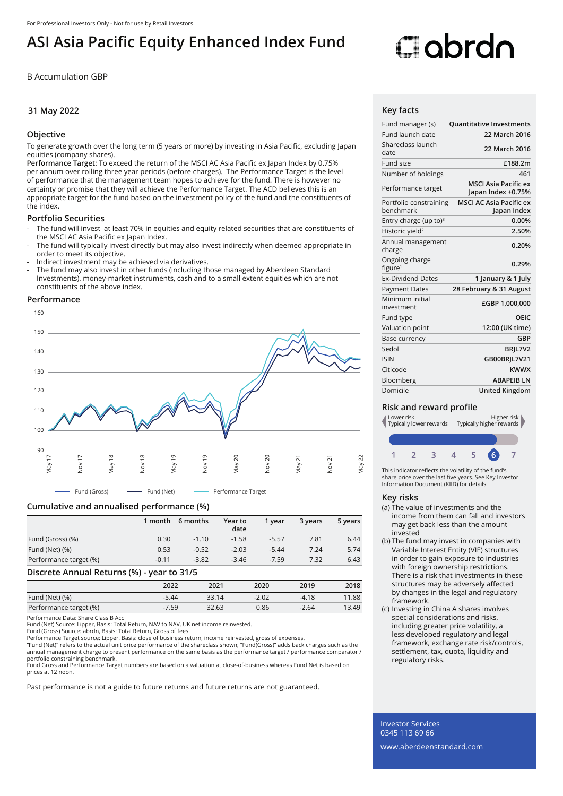# **ASI Asia Pacific Equity Enhanced Index Fund**

B Accumulation GBP

# **31 May 2022**

# **Objective**

To generate growth over the long term (5 years or more) by investing in Asia Pacific, excluding Japan equities (company shares).

**Performance Target:** To exceed the return of the MSCI AC Asia Pacific ex Japan Index by 0.75% per annum over rolling three year periods (before charges). The Performance Target is the level of performance that the management team hopes to achieve for the fund. There is however no certainty or promise that they will achieve the Performance Target. The ACD believes this is an appropriate target for the fund based on the investment policy of the fund and the constituents of the index.

### **Portfolio Securities**

- The fund will invest at least 70% in equities and equity related securities that are constituents of the MSCI AC Asia Pacific ex Japan Index.
- The fund will typically invest directly but may also invest indirectly when deemed appropriate in order to meet its objective.
- Indirect investment may be achieved via derivatives.
- The fund may also invest in other funds (including those managed by Aberdeen Standard Investments), money-market instruments, cash and to a small extent equities which are not constituents of the above index.

#### **Performance**



Fund (Gross) - - Fund (Net) - Performance Target

# **Cumulative and annualised performance (%)**

|                        | 1 month | 6 months | Year to<br>date | 1 vear  | 3 years | 5 years |
|------------------------|---------|----------|-----------------|---------|---------|---------|
| Fund (Gross) (%)       | 0.30    | $-1.10$  | $-1.58$         | $-5.57$ | 7.81    | 6.44    |
| Fund (Net) (%)         | 0.53    | $-0.52$  | $-2.03$         | $-5.44$ | 7.24    | 5.74    |
| Performance target (%) | $-0.11$ | $-3.82$  | $-3.46$         | $-7.59$ | 7.32    | 6.43    |

#### **Discrete Annual Returns (%) - year to 31/5**

|                        | $\sim$  |       |         |         |       |
|------------------------|---------|-------|---------|---------|-------|
|                        | 2022    | 2021  | 2020    | 2019    | 2018  |
| Fund (Net) (%)         | $-5.44$ | 33.14 | $-2.02$ | $-4.18$ | 11.88 |
| Performance target (%) | $-7.59$ | 32.63 | 0.86    | $-2.64$ | 13.49 |

Performance Data: Share Class B Acc

Fund (Net) Source: Lipper, Basis: Total Return, NAV to NAV, UK net income reinvested.

Fund (Gross) Source: abrdn, Basis: Total Return, Gross of fees.

Performance Target source: Lipper, Basis: close of business return, income reinvested, gross of expenses.<br>"Fund (Net)" refers to the actual unit price performance of the shareclass shown; "Fund(Gross)" adds back charges su

annual management charge to present performance on the same basis as the performance target / performance comparator / portfolio constraining benchmark.

Fund Gross and Performance Target numbers are based on a valuation at close-of-business whereas Fund Net is based on prices at 12 noon.

Past performance is not a guide to future returns and future returns are not guaranteed.

# **Cobrdo**

# **Key facts**

| Fund manager (s)                      | <b>Quantitative Investments</b>                   |
|---------------------------------------|---------------------------------------------------|
| Fund launch date                      | 22 March 2016                                     |
| Shareclass launch<br>date             | 22 March 2016                                     |
| Fund size                             | £188.2m                                           |
| Number of holdings                    | 461                                               |
| Performance target                    | <b>MSCI Asia Pacific ex</b><br>Japan Index +0.75% |
| Portfolio constraining<br>benchmark   | <b>MSCI AC Asia Pacific ex</b><br>Japan Index     |
| Entry charge (up to) $3$              | 0.00%                                             |
| Historic yield <sup>2</sup>           | 2.50%                                             |
| Annual management<br>charge           | 0.20%                                             |
| Ongoing charge<br>figure <sup>1</sup> | 0.29%                                             |
| <b>Ex-Dividend Dates</b>              | 1 January & 1 July                                |
| <b>Payment Dates</b>                  | 28 February & 31 August                           |
| Minimum initial<br>investment         | £GBP 1,000,000                                    |
| Fund type                             | OEIC                                              |
| Valuation point                       | 12:00 (UK time)                                   |
| <b>Base currency</b>                  | GBP                                               |
| Sedol                                 | BRIL7V2                                           |
| <b>ISIN</b>                           | GB00BRJL7V21                                      |
| Citicode                              | <b>KWWX</b>                                       |
| Bloomberg                             | <b>ABAPEIB LN</b>                                 |
| Domicile                              | <b>United Kingdom</b>                             |
|                                       |                                                   |

# **Risk and reward profile**



This indicator reflects the volatility of the fund's share price over the last five years. See Key Investor Information Document (KIID) for details.

#### **Key risks**

- (a) The value of investments and the income from them can fall and investors may get back less than the amount invested
- (b) The fund may invest in companies with Variable Interest Entity (VIE) structures in order to gain exposure to industries with foreign ownership restrictions. There is a risk that investments in these structures may be adversely affected by changes in the legal and regulatory framework.
- (c) Investing in China A shares involves special considerations and risks, including greater price volatility, a less developed regulatory and legal framework, exchange rate risk/controls, settlement, tax, quota, liquidity and regulatory risks.

Investor Services 0345 113 69 66 www.aberdeenstandard.com